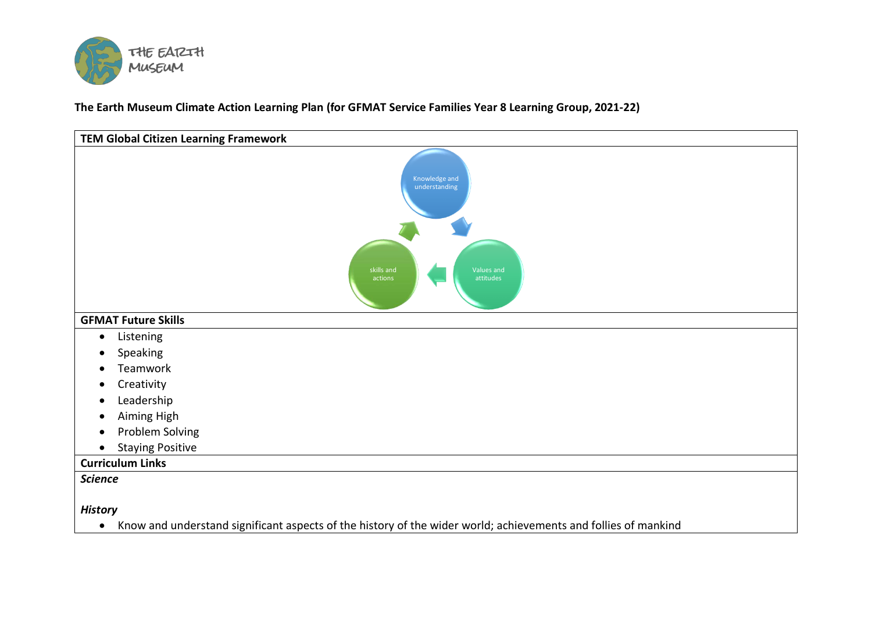

**The Earth Museum Climate Action Learning Plan (for GFMAT Service Families Year 8 Learning Group, 2021-22)**

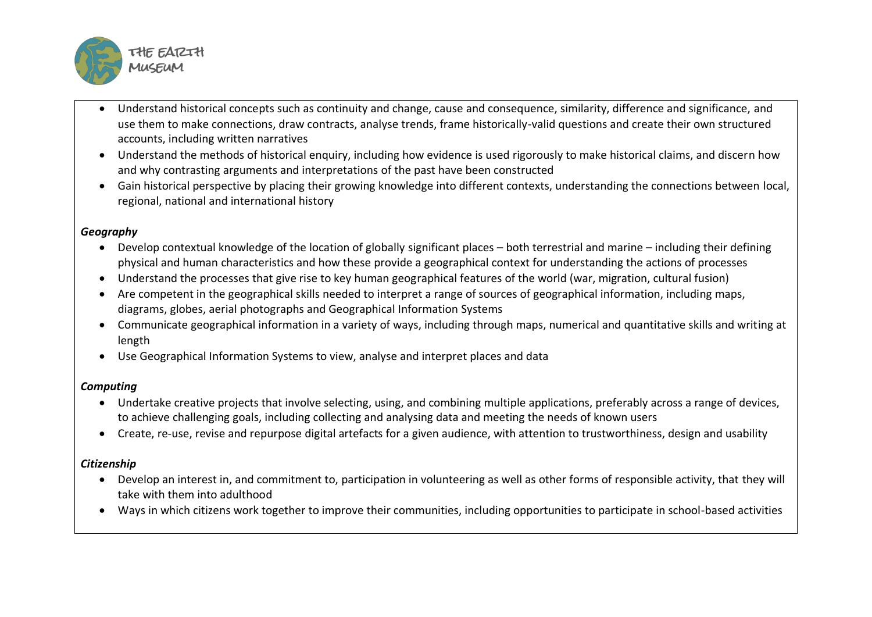

- Understand historical concepts such as continuity and change, cause and consequence, similarity, difference and significance, and use them to make connections, draw contracts, analyse trends, frame historically-valid questions and create their own structured accounts, including written narratives
- Understand the methods of historical enquiry, including how evidence is used rigorously to make historical claims, and discern how and why contrasting arguments and interpretations of the past have been constructed
- Gain historical perspective by placing their growing knowledge into different contexts, understanding the connections between local, regional, national and international history

## *Geography*

- Develop contextual knowledge of the location of globally significant places both terrestrial and marine including their defining physical and human characteristics and how these provide a geographical context for understanding the actions of processes
- Understand the processes that give rise to key human geographical features of the world (war, migration, cultural fusion)
- Are competent in the geographical skills needed to interpret a range of sources of geographical information, including maps, diagrams, globes, aerial photographs and Geographical Information Systems
- Communicate geographical information in a variety of ways, including through maps, numerical and quantitative skills and writing at length
- Use Geographical Information Systems to view, analyse and interpret places and data

## *Computing*

- Undertake creative projects that involve selecting, using, and combining multiple applications, preferably across a range of devices, to achieve challenging goals, including collecting and analysing data and meeting the needs of known users
- Create, re-use, revise and repurpose digital artefacts for a given audience, with attention to trustworthiness, design and usability

## *Citizenship*

- Develop an interest in, and commitment to, participation in volunteering as well as other forms of responsible activity, that they will take with them into adulthood
- Ways in which citizens work together to improve their communities, including opportunities to participate in school-based activities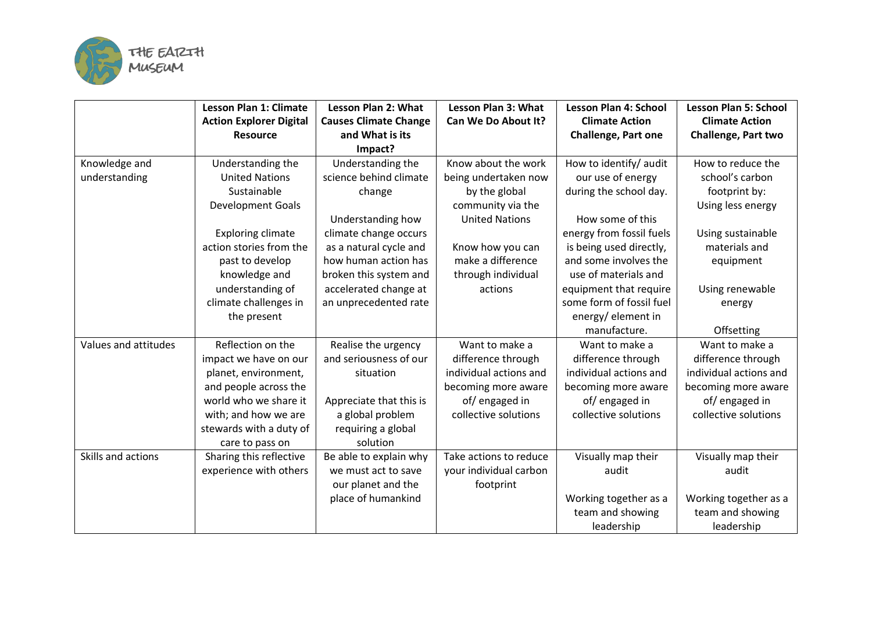

|                      | <b>Lesson Plan 1: Climate</b>  | <b>Lesson Plan 2: What</b>   | <b>Lesson Plan 3: What</b> | <b>Lesson Plan 4: School</b> | <b>Lesson Plan 5: School</b> |
|----------------------|--------------------------------|------------------------------|----------------------------|------------------------------|------------------------------|
|                      | <b>Action Explorer Digital</b> | <b>Causes Climate Change</b> | Can We Do About It?        | <b>Climate Action</b>        | <b>Climate Action</b>        |
|                      | <b>Resource</b>                | and What is its              |                            | <b>Challenge, Part one</b>   | Challenge, Part two          |
|                      |                                | Impact?                      |                            |                              |                              |
| Knowledge and        | Understanding the              | Understanding the            | Know about the work        | How to identify/ audit       | How to reduce the            |
| understanding        | <b>United Nations</b>          | science behind climate       | being undertaken now       | our use of energy            | school's carbon              |
|                      | Sustainable                    | change                       | by the global              | during the school day.       | footprint by:                |
|                      | <b>Development Goals</b>       |                              | community via the          |                              | Using less energy            |
|                      |                                | Understanding how            | <b>United Nations</b>      | How some of this             |                              |
|                      | <b>Exploring climate</b>       | climate change occurs        |                            | energy from fossil fuels     | Using sustainable            |
|                      | action stories from the        | as a natural cycle and       | Know how you can           | is being used directly,      | materials and                |
|                      | past to develop                | how human action has         | make a difference          | and some involves the        | equipment                    |
|                      | knowledge and                  | broken this system and       | through individual         | use of materials and         |                              |
|                      | understanding of               | accelerated change at        | actions                    | equipment that require       | Using renewable              |
|                      | climate challenges in          | an unprecedented rate        |                            | some form of fossil fuel     | energy                       |
|                      | the present                    |                              |                            | energy/element in            |                              |
|                      |                                |                              |                            | manufacture.                 | Offsetting                   |
| Values and attitudes | Reflection on the              | Realise the urgency          | Want to make a             | Want to make a               | Want to make a               |
|                      | impact we have on our          | and seriousness of our       | difference through         | difference through           | difference through           |
|                      | planet, environment,           | situation                    | individual actions and     | individual actions and       | individual actions and       |
|                      | and people across the          |                              | becoming more aware        | becoming more aware          | becoming more aware          |
|                      | world who we share it          | Appreciate that this is      | of/engaged in              | of/engaged in                | of/engaged in                |
|                      | with; and how we are           | a global problem             | collective solutions       | collective solutions         | collective solutions         |
|                      | stewards with a duty of        | requiring a global           |                            |                              |                              |
|                      | care to pass on                | solution                     |                            |                              |                              |
| Skills and actions   | Sharing this reflective        | Be able to explain why       | Take actions to reduce     | Visually map their           | Visually map their           |
|                      | experience with others         | we must act to save          | your individual carbon     | audit                        | audit                        |
|                      |                                | our planet and the           | footprint                  |                              |                              |
|                      |                                | place of humankind           |                            | Working together as a        | Working together as a        |
|                      |                                |                              |                            | team and showing             | team and showing             |
|                      |                                |                              |                            | leadership                   | leadership                   |